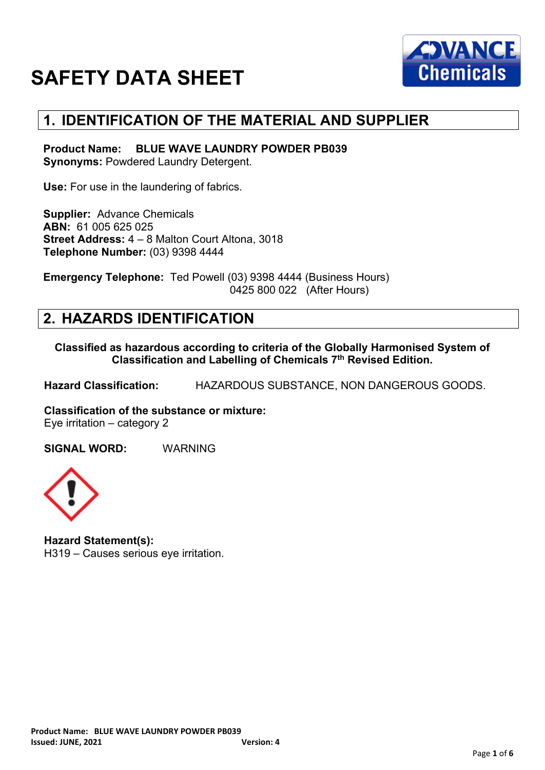

### **1. IDENTIFICATION OF THE MATERIAL AND SUPPLIER**

**Product Name: BLUE WAVE LAUNDRY POWDER PB039 Synonyms: Powdered Laundry Detergent.** 

**Use:** For use in the laundering of fabrics.

**Supplier:** Advance Chemicals **ABN:** 61 005 625 025 **Street Address:** 4 – 8 Malton Court Altona, 3018 **Telephone Number:** (03) 9398 4444

**Emergency Telephone:** Ted Powell (03) 9398 4444 (Business Hours) 0425 800 022 (After Hours)

### **2. HAZARDS IDENTIFICATION**

**Classified as hazardous according to criteria of the Globally Harmonised System of Classification and Labelling of Chemicals 7th Revised Edition.**

**Hazard Classification:** HAZARDOUS SUBSTANCE, NON DANGEROUS GOODS.

**Classification of the substance or mixture:** Eye irritation – category 2

**SIGNAL WORD:** WARNING



**Hazard Statement(s):** H319 – Causes serious eye irritation.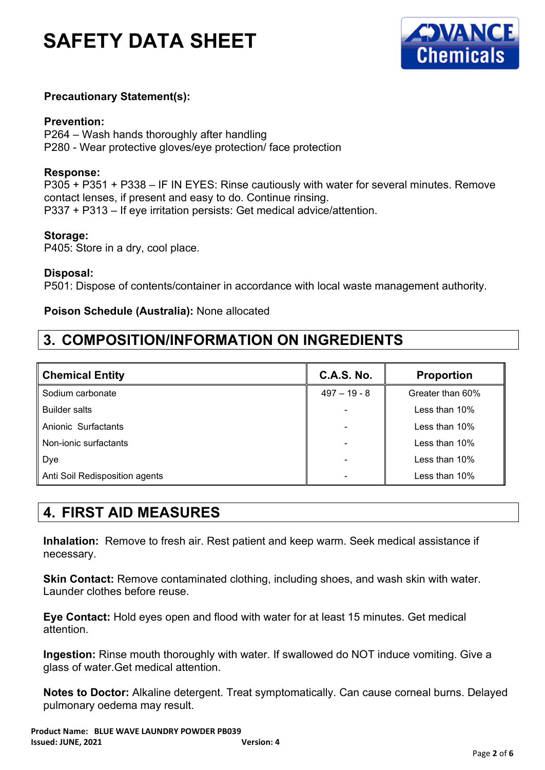

#### **Precautionary Statement(s):**

#### **Prevention:**

P264 – Wash hands thoroughly after handling P280 - Wear protective gloves/eye protection/ face protection

#### **Response:**

P305 + P351 + P338 – IF IN EYES: Rinse cautiously with water for several minutes. Remove contact lenses, if present and easy to do. Continue rinsing. P337 + P313 – If eye irritation persists: Get medical advice/attention.

#### **Storage:**

P405: Store in a dry, cool place.

**Disposal:**

P501: Dispose of contents/container in accordance with local waste management authority.

#### **Poison Schedule (Australia):** None allocated

## **3. COMPOSITION/INFORMATION ON INGREDIENTS**

| <b>Chemical Entity</b>         | <b>C.A.S. No.</b>        | <b>Proportion</b> |
|--------------------------------|--------------------------|-------------------|
| Sodium carbonate               | $497 - 19 - 8$           | Greater than 60%  |
| <b>Builder salts</b>           | $\blacksquare$           | Less than $10\%$  |
| Anionic Surfactants            | $\overline{\phantom{a}}$ | Less than 10%     |
| Non-ionic surfactants          | $\blacksquare$           | Less than 10%     |
| Dye                            | $\overline{\phantom{a}}$ | Less than 10%     |
| Anti Soil Redisposition agents | $\overline{\phantom{a}}$ | Less than 10%     |

## **4. FIRST AID MEASURES**

**Inhalation:** Remove to fresh air. Rest patient and keep warm. Seek medical assistance if necessary.

**Skin Contact:** Remove contaminated clothing, including shoes, and wash skin with water. Launder clothes before reuse.

**Eye Contact:** Hold eyes open and flood with water for at least 15 minutes. Get medical attention.

**Ingestion:** Rinse mouth thoroughly with water. If swallowed do NOT induce vomiting. Give a glass of water.Get medical attention.

**Notes to Doctor:** Alkaline detergent. Treat symptomatically. Can cause corneal burns. Delayed pulmonary oedema may result.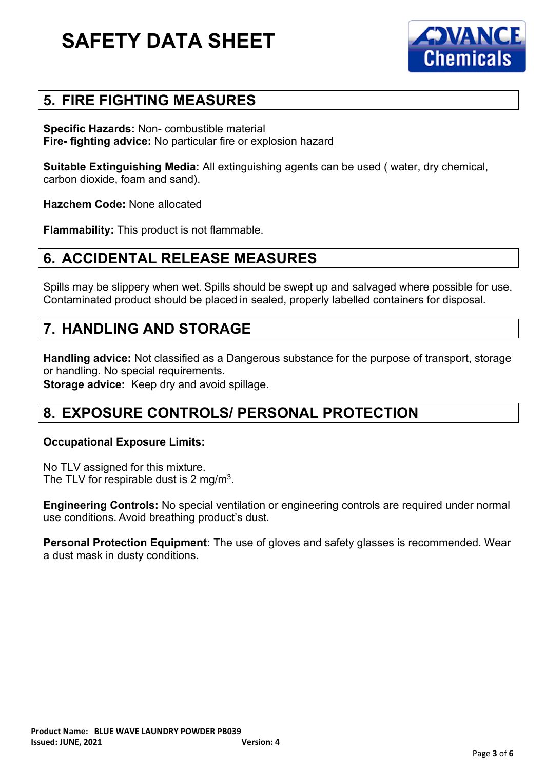

#### **5. FIRE FIGHTING MEASURES**

**Specific Hazards:** Non- combustible material **Fire- fighting advice:** No particular fire or explosion hazard

**Suitable Extinguishing Media:** All extinguishing agents can be used ( water, dry chemical, carbon dioxide, foam and sand).

**Hazchem Code:** None allocated

**Flammability:** This product is not flammable.

#### **6. ACCIDENTAL RELEASE MEASURES**

Spills may be slippery when wet. Spills should be swept up and salvaged where possible for use. Contaminated product should be placed in sealed, properly labelled containers for disposal.

#### **7. HANDLING AND STORAGE**

**Handling advice:** Not classified as a Dangerous substance for the purpose of transport, storage or handling. No special requirements.

**Storage advice:** Keep dry and avoid spillage.

#### **8. EXPOSURE CONTROLS/ PERSONAL PROTECTION**

#### **Occupational Exposure Limits:**

No TLV assigned for this mixture. The TLV for respirable dust is 2 mg/m<sup>3</sup>.

**Engineering Controls:** No special ventilation or engineering controls are required under normal use conditions. Avoid breathing product's dust.

**Personal Protection Equipment:** The use of gloves and safety glasses is recommended. Wear a dust mask in dusty conditions.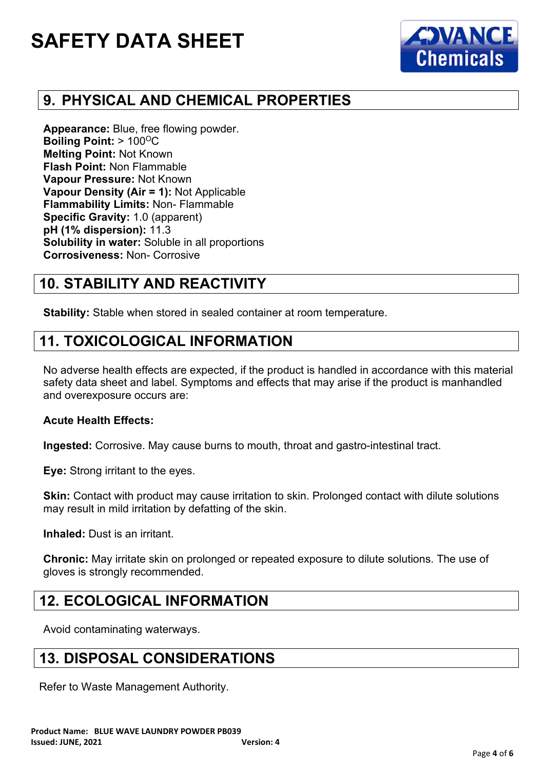

## **9. PHYSICAL AND CHEMICAL PROPERTIES**

**Appearance:** Blue, free flowing powder. **Boiling Point: > 100°C Melting Point:** Not Known **Flash Point:** Non Flammable **Vapour Pressure:** Not Known **Vapour Density (Air = 1):** Not Applicable **Flammability Limits:** Non- Flammable **Specific Gravity:** 1.0 (apparent) **pH (1% dispersion):** 11.3 **Solubility in water:** Soluble in all proportions **Corrosiveness:** Non- Corrosive

## **10. STABILITY AND REACTIVITY**

**Stability:** Stable when stored in sealed container at room temperature.

#### **11. TOXICOLOGICAL INFORMATION**

No adverse health effects are expected, if the product is handled in accordance with this material safety data sheet and label. Symptoms and effects that may arise if the product is manhandled and overexposure occurs are:

#### **Acute Health Effects:**

**Ingested:** Corrosive. May cause burns to mouth, throat and gastro-intestinal tract.

**Eye:** Strong irritant to the eyes.

**Skin:** Contact with product may cause irritation to skin. Prolonged contact with dilute solutions may result in mild irritation by defatting of the skin.

**Inhaled:** Dust is an irritant.

**Chronic:** May irritate skin on prolonged or repeated exposure to dilute solutions. The use of gloves is strongly recommended.

#### **12. ECOLOGICAL INFORMATION**

Avoid contaminating waterways.

#### **13. DISPOSAL CONSIDERATIONS**

Refer to Waste Management Authority.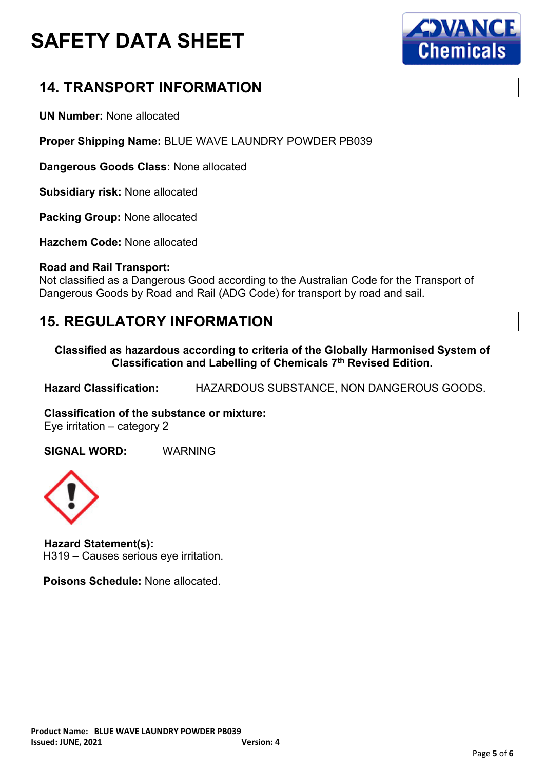



### **14. TRANSPORT INFORMATION**

**UN Number:** None allocated

**Proper Shipping Name:** BLUE WAVE LAUNDRY POWDER PB039

**Dangerous Goods Class:** None allocated

**Subsidiary risk:** None allocated

**Packing Group:** None allocated

**Hazchem Code:** None allocated

#### **Road and Rail Transport:**

Not classified as a Dangerous Good according to the Australian Code for the Transport of Dangerous Goods by Road and Rail (ADG Code) for transport by road and sail.

#### **15. REGULATORY INFORMATION**

**Classified as hazardous according to criteria of the Globally Harmonised System of Classification and Labelling of Chemicals 7th Revised Edition.**

**Hazard Classification:** HAZARDOUS SUBSTANCE, NON DANGEROUS GOODS.

**Classification of the substance or mixture:** Eye irritation – category 2

**SIGNAL WORD:** WARNING



**Hazard Statement(s):** H319 – Causes serious eye irritation.

**Poisons Schedule:** None allocated.